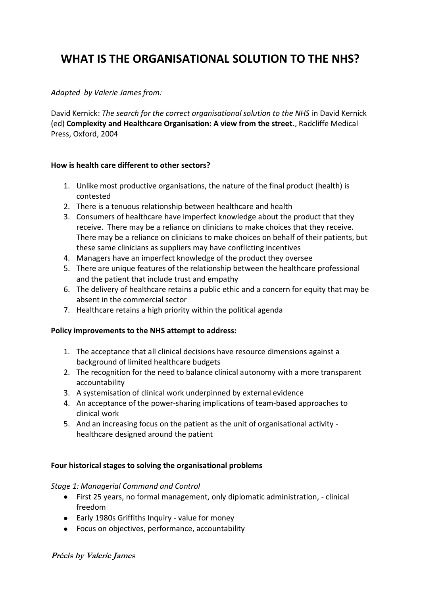# **WHAT IS THE ORGANISATIONAL SOLUTION TO THE NHS?**

## *Adapted by Valerie James from:*

David Kernick: *The search for the correct organisational solution to the NHS* in David Kernick (ed) **Complexity and Healthcare Organisation: A view from the street**., Radcliffe Medical Press, Oxford, 2004

### **How is health care different to other sectors?**

- 1. Unlike most productive organisations, the nature of the final product (health) is contested
- 2. There is a tenuous relationship between healthcare and health
- 3. Consumers of healthcare have imperfect knowledge about the product that they receive. There may be a reliance on clinicians to make choices that they receive. There may be a reliance on clinicians to make choices on behalf of their patients, but these same clinicians as suppliers may have conflicting incentives
- 4. Managers have an imperfect knowledge of the product they oversee
- 5. There are unique features of the relationship between the healthcare professional and the patient that include trust and empathy
- 6. The delivery of healthcare retains a public ethic and a concern for equity that may be absent in the commercial sector
- 7. Healthcare retains a high priority within the political agenda

#### **Policy improvements to the NHS attempt to address:**

- 1. The acceptance that all clinical decisions have resource dimensions against a background of limited healthcare budgets
- 2. The recognition for the need to balance clinical autonomy with a more transparent accountability
- 3. A systemisation of clinical work underpinned by external evidence
- 4. An acceptance of the power-sharing implications of team-based approaches to clinical work
- 5. And an increasing focus on the patient as the unit of organisational activity healthcare designed around the patient

#### **Four historical stages to solving the organisational problems**

#### *Stage 1: Managerial Command and Control*

- First 25 years, no formal management, only diplomatic administration, clinical freedom
- Early 1980s Griffiths Inquiry value for money
- Focus on objectives, performance, accountability

#### **Précis by Valerie James**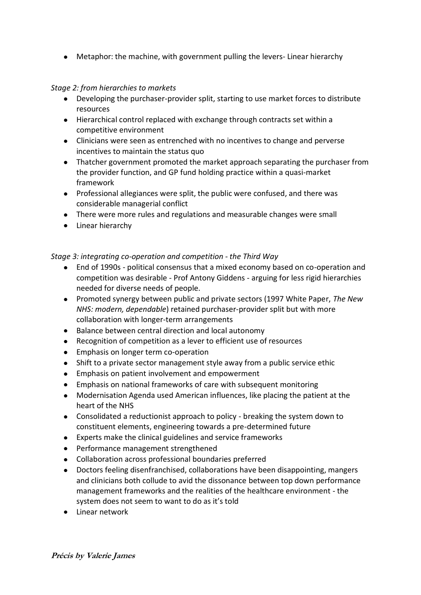Metaphor: the machine, with government pulling the levers- Linear hierarchy

## *Stage 2: from hierarchies to markets*

- Developing the purchaser-provider split, starting to use market forces to distribute resources
- Hierarchical control replaced with exchange through contracts set within a competitive environment
- Clinicians were seen as entrenched with no incentives to change and perverse incentives to maintain the status quo
- Thatcher government promoted the market approach separating the purchaser from the provider function, and GP fund holding practice within a quasi-market framework
- Professional allegiances were split, the public were confused, and there was considerable managerial conflict
- There were more rules and regulations and measurable changes were small
- Linear hierarchy

*Stage 3: integrating co-operation and competition - the Third Way*

- End of 1990s political consensus that a mixed economy based on co-operation and  $\bullet$ competition was desirable - Prof Antony Giddens - arguing for less rigid hierarchies needed for diverse needs of people.
- Promoted synergy between public and private sectors (1997 White Paper, *The New NHS: modern, dependable*) retained purchaser-provider split but with more collaboration with longer-term arrangements
- Balance between central direction and local autonomy
- Recognition of competition as a lever to efficient use of resources
- **Emphasis on longer term co-operation**
- Shift to a private sector management style away from a public service ethic
- Emphasis on patient involvement and empowerment
- Emphasis on national frameworks of care with subsequent monitoring  $\bullet$
- Modernisation Agenda used American influences, like placing the patient at the heart of the NHS
- Consolidated a reductionist approach to policy breaking the system down to constituent elements, engineering towards a pre-determined future
- Experts make the clinical guidelines and service frameworks
- Performance management strengthened
- Collaboration across professional boundaries preferred
- Doctors feeling disenfranchised, collaborations have been disappointing, mangers  $\bullet$ and clinicians both collude to avid the dissonance between top down performance management frameworks and the realities of the healthcare environment - the system does not seem to want to do as it's told
- Linear network